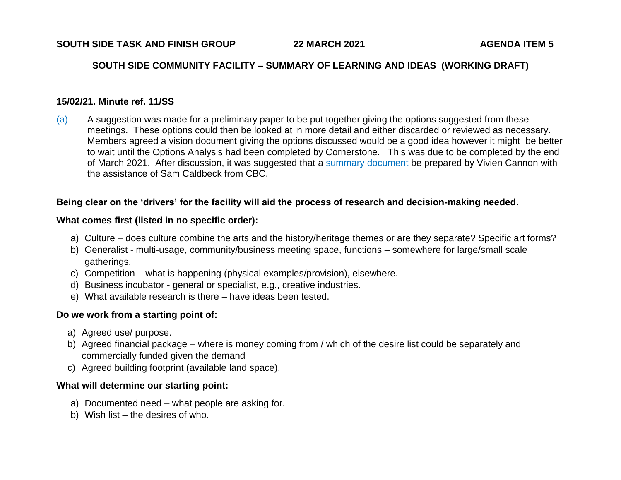#### **SOUTH SIDE COMMUNITY FACILITY – SUMMARY OF LEARNING AND IDEAS (WORKING DRAFT)**

#### **15/02/21. Minute ref. 11/SS**

(a) A suggestion was made for a preliminary paper to be put together giving the options suggested from these meetings. These options could then be looked at in more detail and either discarded or reviewed as necessary. Members agreed a vision document giving the options discussed would be a good idea however it might be better to wait until the Options Analysis had been completed by Cornerstone. This was due to be completed by the end of March 2021. After discussion, it was suggested that a summary document be prepared by Vivien Cannon with the assistance of Sam Caldbeck from CBC.

#### **Being clear on the 'drivers' for the facility will aid the process of research and decision-making needed.**

#### **What comes first (listed in no specific order):**

- a) Culture does culture combine the arts and the history/heritage themes or are they separate? Specific art forms?
- b) Generalist multi-usage, community/business meeting space, functions somewhere for large/small scale gatherings.
- c) Competition what is happening (physical examples/provision), elsewhere.
- d) Business incubator general or specialist, e.g., creative industries.
- e) What available research is there have ideas been tested.

### **Do we work from a starting point of:**

- a) Agreed use/ purpose.
- b) Agreed financial package where is money coming from / which of the desire list could be separately and commercially funded given the demand
- c) Agreed building footprint (available land space).

### **What will determine our starting point:**

- a) Documented need what people are asking for.
- b) Wish list the desires of who.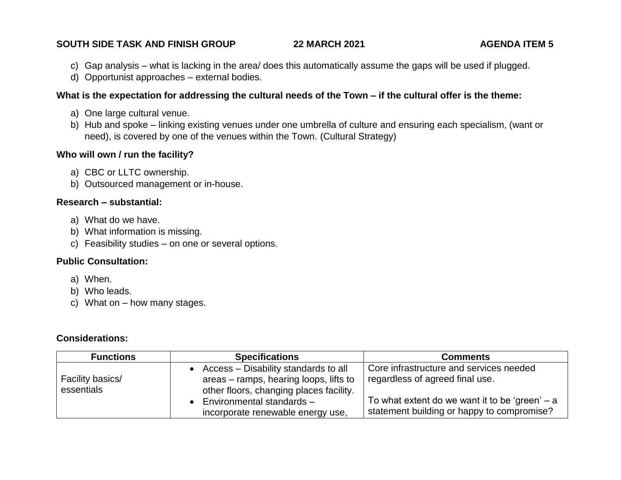# **SOUTH SIDE TASK AND FINISH GROUP 22 MARCH 2021 AGENDA ITEM 5**

- c) Gap analysis what is lacking in the area/ does this automatically assume the gaps will be used if plugged.
- d) Opportunist approaches external bodies.

#### **What is the expectation for addressing the cultural needs of the Town – if the cultural offer is the theme:**

- a) One large cultural venue.
- b) Hub and spoke linking existing venues under one umbrella of culture and ensuring each specialism, (want or need), is covered by one of the venues within the Town. (Cultural Strategy)

#### **Who will own / run the facility?**

- a) CBC or LLTC ownership.
- b) Outsourced management or in-house.

# **Research – substantial:**

- a) What do we have.
- b) What information is missing.
- c) Feasibility studies on one or several options.

# **Public Consultation:**

- a) When.
- b) Who leads.
- c) What on how many stages.

# **Considerations:**

| <b>Functions</b>               | <b>Specifications</b>                                                                                                                                                                       | <b>Comments</b>                                                                                                                                                              |
|--------------------------------|---------------------------------------------------------------------------------------------------------------------------------------------------------------------------------------------|------------------------------------------------------------------------------------------------------------------------------------------------------------------------------|
| Facility basics/<br>essentials | Access – Disability standards to all<br>areas – ramps, hearing loops, lifts to<br>other floors, changing places facility.<br>Environmental standards -<br>incorporate renewable energy use, | Core infrastructure and services needed<br>regardless of agreed final use.<br>To what extent do we want it to be 'green' $- a$<br>statement building or happy to compromise? |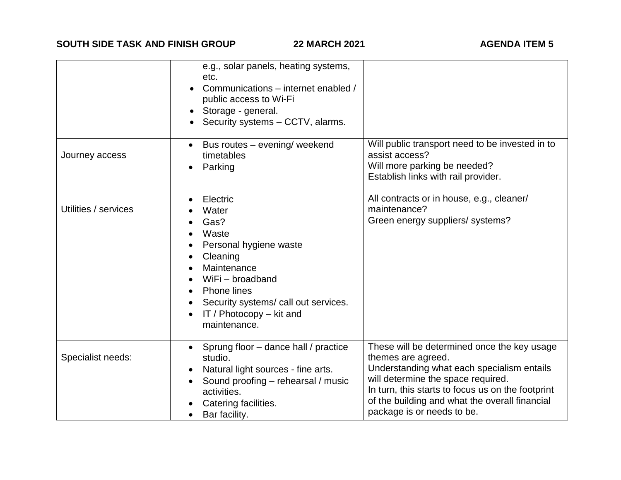|                      | e.g., solar panels, heating systems,<br>etc.<br>Communications - internet enabled /<br>public access to Wi-Fi<br>Storage - general.<br>Security systems - CCTV, alarms.                                                       |                                                                                                                                                                                                                                                                                            |
|----------------------|-------------------------------------------------------------------------------------------------------------------------------------------------------------------------------------------------------------------------------|--------------------------------------------------------------------------------------------------------------------------------------------------------------------------------------------------------------------------------------------------------------------------------------------|
| Journey access       | Bus routes - evening/ weekend<br>$\bullet$<br>timetables<br>Parking<br>$\bullet$                                                                                                                                              | Will public transport need to be invested in to<br>assist access?<br>Will more parking be needed?<br>Establish links with rail provider.                                                                                                                                                   |
| Utilities / services | Electric<br>Water<br>Gas?<br>Waste<br>Personal hygiene waste<br>Cleaning<br>Maintenance<br>WiFi - broadband<br>Phone lines<br>Security systems/ call out services.<br>$\bullet$<br>IT / Photocopy $-$ kit and<br>maintenance. | All contracts or in house, e.g., cleaner/<br>maintenance?<br>Green energy suppliers/ systems?                                                                                                                                                                                              |
| Specialist needs:    | Sprung floor - dance hall / practice<br>studio.<br>Natural light sources - fine arts.<br>٠<br>Sound proofing - rehearsal / music<br>activities.<br>Catering facilities.<br>Bar facility.                                      | These will be determined once the key usage<br>themes are agreed.<br>Understanding what each specialism entails<br>will determine the space required.<br>In turn, this starts to focus us on the footprint<br>of the building and what the overall financial<br>package is or needs to be. |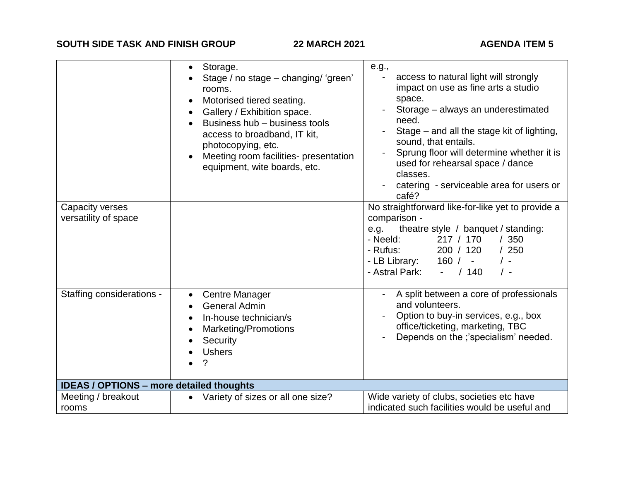**SOUTH SIDE TASK AND FINISH GROUP 22 MARCH 2021 AGENDA ITEM 5** 

| Capacity verses<br>versatility of space         | Storage.<br>$\bullet$<br>Stage / no stage - changing/ 'green'<br>rooms.<br>Motorised tiered seating.<br>$\bullet$<br>Gallery / Exhibition space.<br>$\bullet$<br>Business hub - business tools<br>access to broadband, IT kit,<br>photocopying, etc.<br>Meeting room facilities- presentation<br>$\bullet$<br>equipment, wite boards, etc. | e.g.,<br>access to natural light will strongly<br>impact on use as fine arts a studio<br>space.<br>Storage - always an underestimated<br>need.<br>Stage – and all the stage kit of lighting,<br>sound, that entails.<br>Sprung floor will determine whether it is<br>used for rehearsal space / dance<br>classes.<br>catering - serviceable area for users or<br>café?<br>No straightforward like-for-like yet to provide a<br>comparison -<br>theatre style / banquet / standing:<br>e.g.<br>/350<br>- Neeld:<br>217 / 170<br>/250<br>- Rufus:<br>200 / 120<br>- LB Library:<br>160/<br>$/$ -<br>$\sim 10^{-1}$<br>- Astral Park:<br>/140<br>$\sim 100$<br>$\prime$ - |
|-------------------------------------------------|--------------------------------------------------------------------------------------------------------------------------------------------------------------------------------------------------------------------------------------------------------------------------------------------------------------------------------------------|------------------------------------------------------------------------------------------------------------------------------------------------------------------------------------------------------------------------------------------------------------------------------------------------------------------------------------------------------------------------------------------------------------------------------------------------------------------------------------------------------------------------------------------------------------------------------------------------------------------------------------------------------------------------|
| Staffing considerations -                       | <b>Centre Manager</b><br>$\bullet$<br><b>General Admin</b><br>$\bullet$<br>In-house technician/s<br>$\bullet$<br><b>Marketing/Promotions</b><br>$\bullet$<br>Security<br>$\bullet$<br><b>Ushers</b><br>?                                                                                                                                   | A split between a core of professionals<br>and volunteers.<br>Option to buy-in services, e.g., box<br>office/ticketing, marketing, TBC<br>Depends on the ;'specialism' needed.                                                                                                                                                                                                                                                                                                                                                                                                                                                                                         |
| <b>IDEAS / OPTIONS - more detailed thoughts</b> |                                                                                                                                                                                                                                                                                                                                            |                                                                                                                                                                                                                                                                                                                                                                                                                                                                                                                                                                                                                                                                        |
| Meeting / breakout<br>rooms                     | Variety of sizes or all one size?<br>$\bullet$                                                                                                                                                                                                                                                                                             | Wide variety of clubs, societies etc have<br>indicated such facilities would be useful and                                                                                                                                                                                                                                                                                                                                                                                                                                                                                                                                                                             |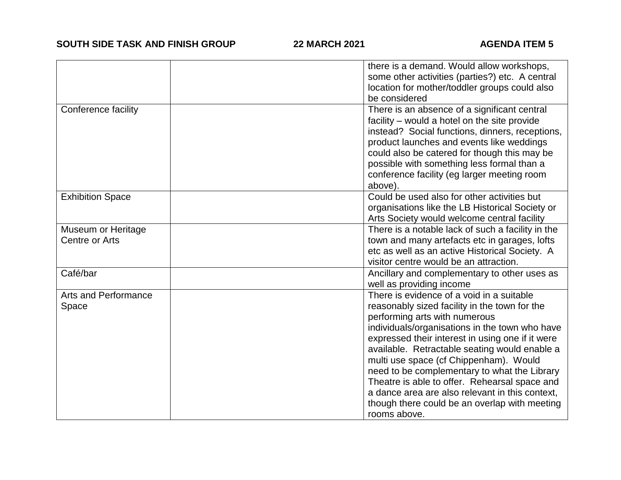|                                      | there is a demand. Would allow workshops,<br>some other activities (parties?) etc. A central<br>location for mother/toddler groups could also<br>be considered                                                                                                                                                                                                                                                                                                                                                                                    |
|--------------------------------------|---------------------------------------------------------------------------------------------------------------------------------------------------------------------------------------------------------------------------------------------------------------------------------------------------------------------------------------------------------------------------------------------------------------------------------------------------------------------------------------------------------------------------------------------------|
| Conference facility                  | There is an absence of a significant central<br>facility - would a hotel on the site provide<br>instead? Social functions, dinners, receptions,<br>product launches and events like weddings<br>could also be catered for though this may be<br>possible with something less formal than a<br>conference facility (eg larger meeting room<br>above).                                                                                                                                                                                              |
| <b>Exhibition Space</b>              | Could be used also for other activities but<br>organisations like the LB Historical Society or<br>Arts Society would welcome central facility                                                                                                                                                                                                                                                                                                                                                                                                     |
| Museum or Heritage<br>Centre or Arts | There is a notable lack of such a facility in the<br>town and many artefacts etc in garages, lofts<br>etc as well as an active Historical Society. A<br>visitor centre would be an attraction.                                                                                                                                                                                                                                                                                                                                                    |
| Café/bar                             | Ancillary and complementary to other uses as<br>well as providing income                                                                                                                                                                                                                                                                                                                                                                                                                                                                          |
| <b>Arts and Performance</b><br>Space | There is evidence of a void in a suitable<br>reasonably sized facility in the town for the<br>performing arts with numerous<br>individuals/organisations in the town who have<br>expressed their interest in using one if it were<br>available. Retractable seating would enable a<br>multi use space (cf Chippenham). Would<br>need to be complementary to what the Library<br>Theatre is able to offer. Rehearsal space and<br>a dance area are also relevant in this context,<br>though there could be an overlap with meeting<br>rooms above. |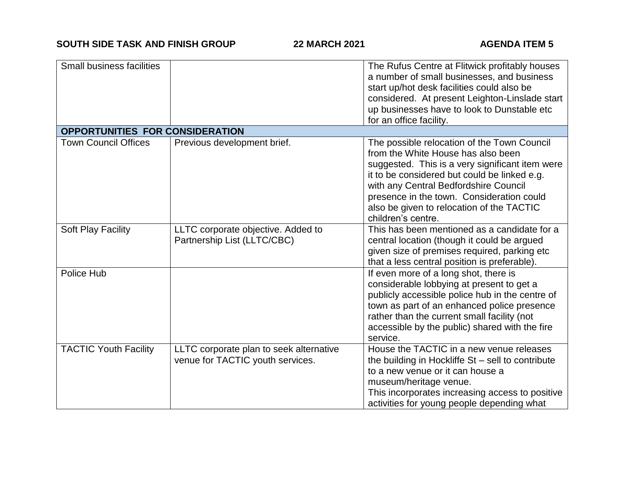| <b>Small business facilities</b> |                                                                             | The Rufus Centre at Flitwick profitably houses<br>a number of small businesses, and business<br>start up/hot desk facilities could also be<br>considered. At present Leighton-Linslade start<br>up businesses have to look to Dunstable etc<br>for an office facility.                                                                        |
|----------------------------------|-----------------------------------------------------------------------------|-----------------------------------------------------------------------------------------------------------------------------------------------------------------------------------------------------------------------------------------------------------------------------------------------------------------------------------------------|
| OPPORTUNITIES FOR CONSIDERATION  |                                                                             |                                                                                                                                                                                                                                                                                                                                               |
| <b>Town Council Offices</b>      | Previous development brief.                                                 | The possible relocation of the Town Council<br>from the White House has also been<br>suggested. This is a very significant item were<br>it to be considered but could be linked e.g.<br>with any Central Bedfordshire Council<br>presence in the town. Consideration could<br>also be given to relocation of the TACTIC<br>children's centre. |
| Soft Play Facility               | LLTC corporate objective. Added to<br>Partnership List (LLTC/CBC)           | This has been mentioned as a candidate for a<br>central location (though it could be argued<br>given size of premises required, parking etc<br>that a less central position is preferable).                                                                                                                                                   |
| Police Hub                       |                                                                             | If even more of a long shot, there is<br>considerable lobbying at present to get a<br>publicly accessible police hub in the centre of<br>town as part of an enhanced police presence<br>rather than the current small facility (not<br>accessible by the public) shared with the fire<br>service.                                             |
| <b>TACTIC Youth Facility</b>     | LLTC corporate plan to seek alternative<br>venue for TACTIC youth services. | House the TACTIC in a new venue releases<br>the building in Hockliffe $St$ – sell to contribute<br>to a new venue or it can house a<br>museum/heritage venue.<br>This incorporates increasing access to positive<br>activities for young people depending what                                                                                |